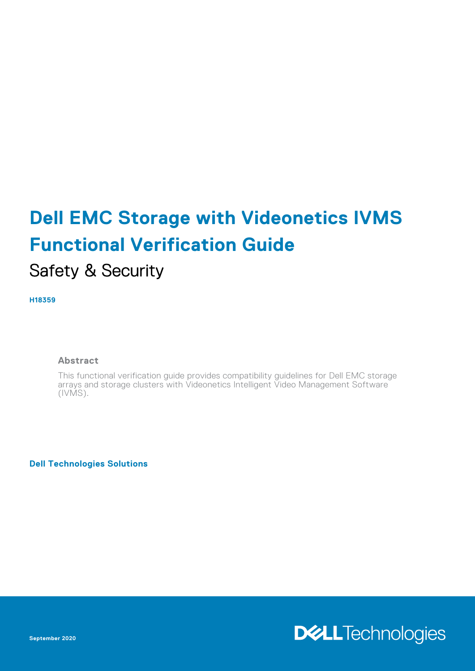# **Dell EMC Storage with Videonetics IVMS Functional Verification Guide**

## Safety & Security

**H18359**

#### **Abstract**

This functional verification guide provides compatibility guidelines for Dell EMC storage arrays and storage clusters with Videonetics Intelligent Video Management Software (IVMS).

**Dell Technologies Solutions**

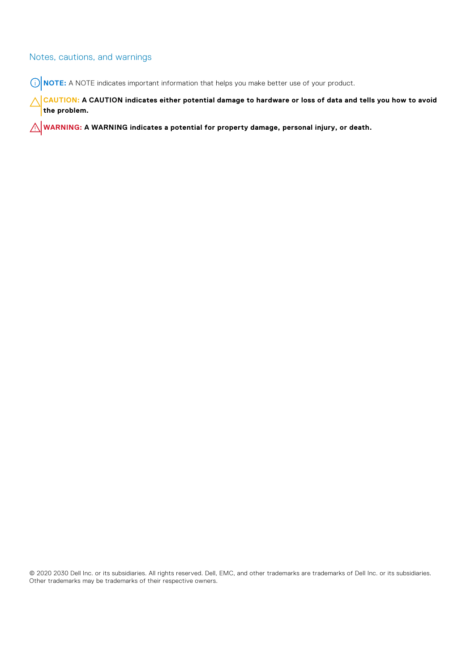#### Notes, cautions, and warnings

**NOTE:** A NOTE indicates important information that helps you make better use of your product.

**CAUTION: A CAUTION indicates either potential damage to hardware or loss of data and tells you how to avoid the problem.**

**WARNING: A WARNING indicates a potential for property damage, personal injury, or death.**

© 2020 2030 Dell Inc. or its subsidiaries. All rights reserved. Dell, EMC, and other trademarks are trademarks of Dell Inc. or its subsidiaries. Other trademarks may be trademarks of their respective owners.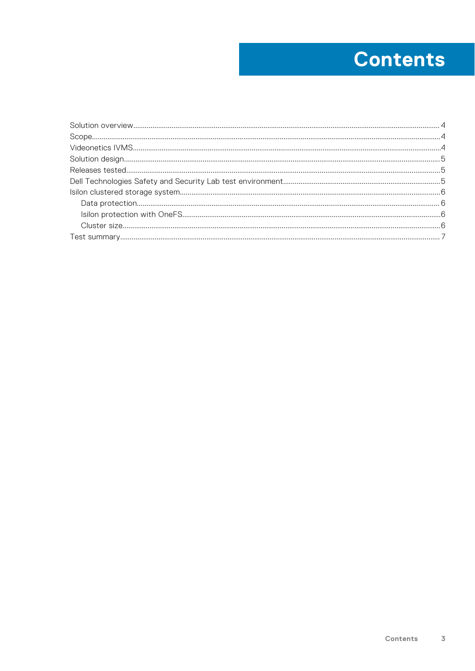## **Contents**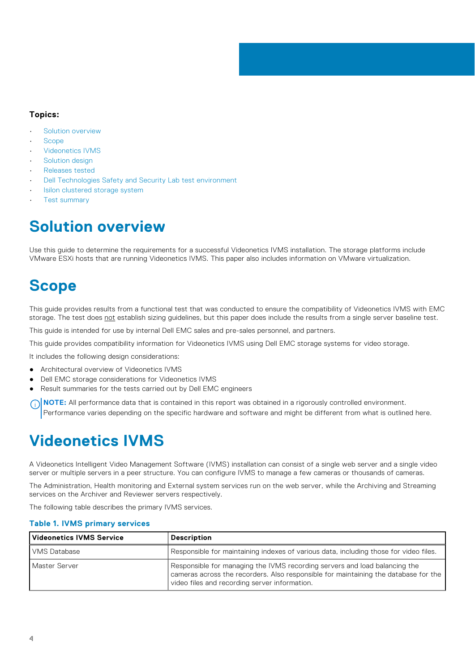#### <span id="page-3-0"></span>**Topics:**

- Solution overview
- **Scope**
- Videonetics IVMS
- [Solution design](#page-4-0)
- [Releases tested](#page-4-0)
- [Dell Technologies Safety and Security Lab test environment](#page-4-0)
- [Isilon clustered storage system](#page-5-0)
- [Test summary](#page-6-0)

### **Solution overview**

Use this guide to determine the requirements for a successful Videonetics IVMS installation. The storage platforms include VMware ESXi hosts that are running Videonetics IVMS. This paper also includes information on VMware virtualization.

### **Scope**

This guide provides results from a functional test that was conducted to ensure the compatibility of Videonetics IVMS with EMC storage. The test does not establish sizing guidelines, but this paper does include the results from a single server baseline test.

This guide is intended for use by internal Dell EMC sales and pre-sales personnel, and partners.

This guide provides compatibility information for Videonetics IVMS using Dell EMC storage systems for video storage.

It includes the following design considerations:

- Architectural overview of Videonetics IVMS
- Dell EMC storage considerations for Videonetics IVMS
- Result summaries for the tests carried out by Dell EMC engineers

**NOTE:** All performance data that is contained in this report was obtained in a rigorously controlled environment. നി Performance varies depending on the specific hardware and software and might be different from what is outlined here.

### **Videonetics IVMS**

A Videonetics Intelligent Video Management Software (IVMS) installation can consist of a single web server and a single video server or multiple servers in a peer structure. You can configure IVMS to manage a few cameras or thousands of cameras.

The Administration, Health monitoring and External system services run on the web server, while the Archiving and Streaming services on the Archiver and Reviewer servers respectively.

The following table describes the primary IVMS services.

#### **Table 1. IVMS primary services**

| Videonetics IVMS Service | <b>Description</b>                                                                                                                                                                                                 |
|--------------------------|--------------------------------------------------------------------------------------------------------------------------------------------------------------------------------------------------------------------|
| VMS Database             | Responsible for maintaining indexes of various data, including those for video files.                                                                                                                              |
| Master Server            | Responsible for managing the IVMS recording servers and load balancing the<br>cameras across the recorders. Also responsible for maintaining the database for the<br>video files and recording server information. |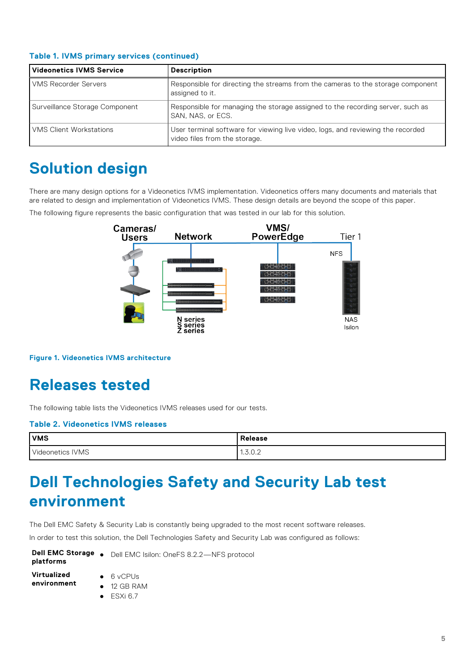| Videonetics IVMS Service       | <b>Description</b>                                                                                               |
|--------------------------------|------------------------------------------------------------------------------------------------------------------|
| <b>VMS Recorder Servers</b>    | Responsible for directing the streams from the cameras to the storage component<br>assigned to it.               |
| Surveillance Storage Component | Responsible for managing the storage assigned to the recording server, such as<br>SAN, NAS, or ECS.              |
| <b>VMS Client Workstations</b> | User terminal software for viewing live video, logs, and reviewing the recorded<br>video files from the storage. |

#### <span id="page-4-0"></span>**Table 1. IVMS primary services (continued)**

### **Solution design**

There are many design options for a Videonetics IVMS implementation. Videonetics offers many documents and materials that are related to design and implementation of Videonetics IVMS. These design details are beyond the scope of this paper.

The following figure represents the basic configuration that was tested in our lab for this solution.



**Figure 1. Videonetics IVMS architecture**

### **Releases tested**

The following table lists the Videonetics IVMS releases used for our tests.

#### **Table 2. Videonetics IVMS releases**

| <b>VMS</b>       | <b>Release</b>                         |
|------------------|----------------------------------------|
| Videonetics IVMS | 700<br>$\ddot{\phantom{1}}$<br>1.0.0.2 |

## **Dell Technologies Safety and Security Lab test environment**

The Dell EMC Safety & Security Lab is constantly being upgraded to the most recent software releases.

In order to test this solution, the Dell Technologies Safety and Security Lab was configured as follows:

| Dell EMC Storage . |  |
|--------------------|--|
| platforms          |  |

- Dell EMC Isilon: OneFS 8.2.2-NFS protocol
- **Virtualized environment**
- 6 vCPUs ● 12 GB RAM
- $\bullet$  ESXi 6.7

**5**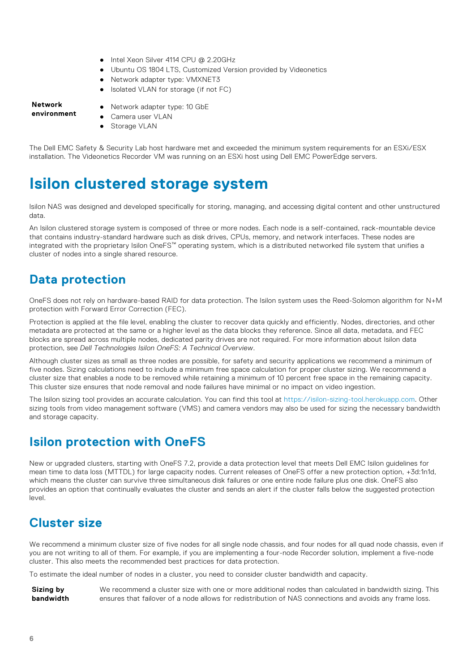- Intel Xeon Silver 4114 CPU @ 2.20GHz
- Ubuntu OS 1804 LTS, Customized Version provided by Videonetics
- Network adapter type: VMXNET3
- Isolated VLAN for storage (if not FC)

#### <span id="page-5-0"></span>**Network environment**

Network adapter type: 10 GbE

● Storage VLAN

Camera user VLAN

The Dell EMC Safety & Security Lab host hardware met and exceeded the minimum system requirements for an ESXi/ESX installation. The Videonetics Recorder VM was running on an ESXi host using Dell EMC PowerEdge servers.

### **Isilon clustered storage system**

Isilon NAS was designed and developed specifically for storing, managing, and accessing digital content and other unstructured data.

An Isilon clustered storage system is composed of three or more nodes. Each node is a self-contained, rack-mountable device that contains industry-standard hardware such as disk drives, CPUs, memory, and network interfaces. These nodes are integrated with the proprietary Isilon OneFS™ operating system, which is a distributed networked file system that unifies a cluster of nodes into a single shared resource.

#### **Data protection**

OneFS does not rely on hardware-based RAID for data protection. The Isilon system uses the Reed-Solomon algorithm for N+M protection with Forward Error Correction (FEC).

Protection is applied at the file level, enabling the cluster to recover data quickly and efficiently. Nodes, directories, and other metadata are protected at the same or a higher level as the data blocks they reference. Since all data, metadata, and FEC blocks are spread across multiple nodes, dedicated parity drives are not required. For more information about Isilon data protection, see *Dell Technologies Isilon OneFS: A Technical Overview*.

Although cluster sizes as small as three nodes are possible, for safety and security applications we recommend a minimum of five nodes. Sizing calculations need to include a minimum free space calculation for proper cluster sizing. We recommend a cluster size that enables a node to be removed while retaining a minimum of 10 percent free space in the remaining capacity. This cluster size ensures that node removal and node failures have minimal or no impact on video ingestion.

The Isilon sizing tool provides an accurate calculation. You can find this tool a[t https://isilon-sizing-tool.herokuapp.com](https://isilon-sizing-tool.herokuapp.com). Other sizing tools from video management software (VMS) and camera vendors may also be used for sizing the necessary bandwidth and storage capacity.

#### **Isilon protection with OneFS**

New or upgraded clusters, starting with OneFS 7.2, provide a data protection level that meets Dell EMC Isilon guidelines for mean time to data loss (MTTDL) for large capacity nodes. Current releases of OneFS offer a new protection option, +3d:1n1d, which means the cluster can survive three simultaneous disk failures or one entire node failure plus one disk. OneFS also provides an option that continually evaluates the cluster and sends an alert if the cluster falls below the suggested protection level.

#### **Cluster size**

We recommend a minimum cluster size of five nodes for all single node chassis, and four nodes for all quad node chassis, even if you are not writing to all of them. For example, if you are implementing a four-node Recorder solution, implement a five-node cluster. This also meets the recommended best practices for data protection.

To estimate the ideal number of nodes in a cluster, you need to consider cluster bandwidth and capacity.

**Sizing by bandwidth** We recommend a cluster size with one or more additional nodes than calculated in bandwidth sizing. This ensures that failover of a node allows for redistribution of NAS connections and avoids any frame loss.